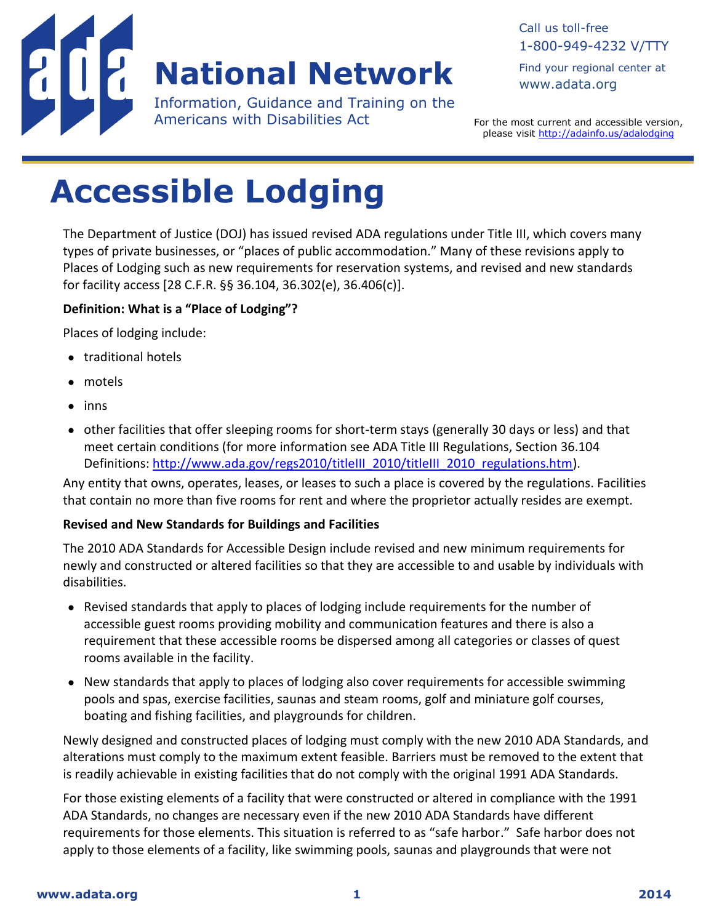

# **National Network**

Information, Guidance and Training on the Americans with Disabilities Act

For the most current and accessible version, please visit<http://adainfo.us/adalodging>

# **Accessible Lodging**

The Department of Justice (DOJ) has issued revised ADA regulations under Title III, which covers many types of private businesses, or "places of public accommodation." Many of these revisions apply to Places of Lodging such as new requirements for reservation systems, and revised and new standards for facility access [28 C.F.R. §§ 36.104, 36.302(e), 36.406(c)].

### **Definition: What is a "Place of Lodging"?**

Places of lodging include:

- traditional hotels
- motels
- $\bullet$  inns
- other facilities that offer sleeping rooms for short-term stays (generally 30 days or less) and that meet certain conditions (for more information see ADA Title III Regulations, Section 36.104 Definitions: [http://www.ada.gov/regs2010/titleIII\\_2010/titleIII\\_2010\\_regulations.htm\)](http://www.ada.gov/regs2010/titleIII_2010/titleIII_2010_regulations.htm).

Any entity that owns, operates, leases, or leases to such a place is covered by the regulations. Facilities that contain no more than five rooms for rent and where the proprietor actually resides are exempt.

## **Revised and New Standards for Buildings and Facilities**

The 2010 ADA Standards for Accessible Design include revised and new minimum requirements for newly and constructed or altered facilities so that they are accessible to and usable by individuals with disabilities.

- Revised standards that apply to places of lodging include requirements for the number of accessible guest rooms providing mobility and communication features and there is also a requirement that these accessible rooms be dispersed among all categories or classes of quest rooms available in the facility.
- New standards that apply to places of lodging also cover requirements for accessible swimming pools and spas, exercise facilities, saunas and steam rooms, golf and miniature golf courses, boating and fishing facilities, and playgrounds for children.

Newly designed and constructed places of lodging must comply with the new 2010 ADA Standards, and alterations must comply to the maximum extent feasible. Barriers must be removed to the extent that is readily achievable in existing facilities that do not comply with the original 1991 ADA Standards.

For those existing elements of a facility that were constructed or altered in compliance with the 1991 ADA Standards, no changes are necessary even if the new 2010 ADA Standards have different requirements for those elements. This situation is referred to as "safe harbor." Safe harbor does not apply to those elements of a facility, like swimming pools, saunas and playgrounds that were not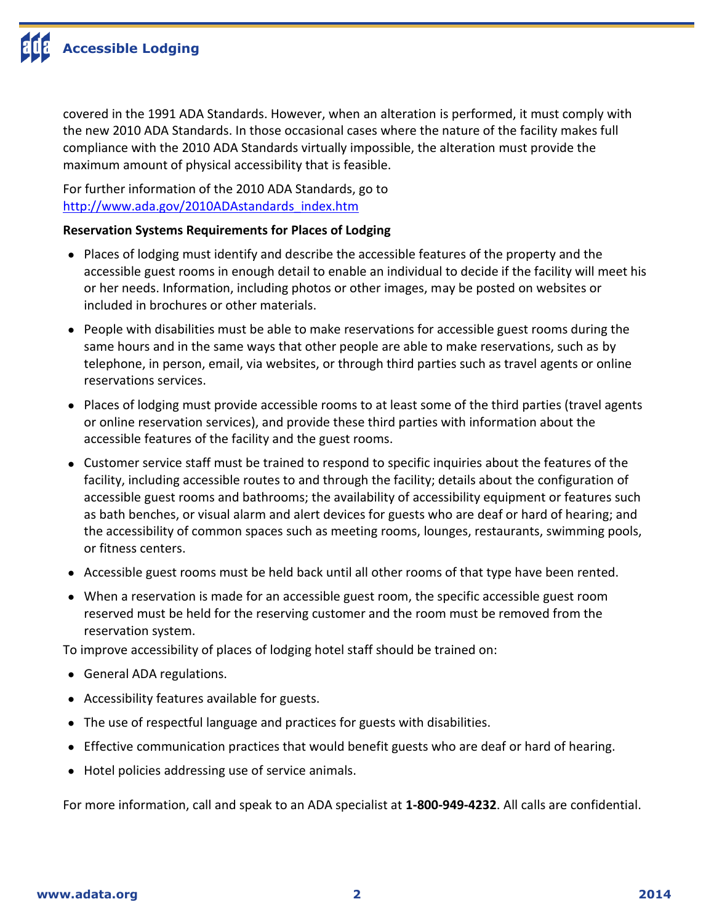covered in the 1991 ADA Standards. However, when an alteration is performed, it must comply with the new 2010 ADA Standards. In those occasional cases where the nature of the facility makes full compliance with the 2010 ADA Standards virtually impossible, the alteration must provide the maximum amount of physical accessibility that is feasible.

For further information of the 2010 ADA Standards, go to [http://www.ada.gov/2010ADAstandards\\_index.htm](http://www.ada.gov/2010ADAstandards_index.htm)

# **Reservation Systems Requirements for Places of Lodging**

- Places of lodging must identify and describe the accessible features of the property and the accessible guest rooms in enough detail to enable an individual to decide if the facility will meet his or her needs. Information, including photos or other images, may be posted on websites or included in brochures or other materials.
- People with disabilities must be able to make reservations for accessible guest rooms during the same hours and in the same ways that other people are able to make reservations, such as by telephone, in person, email, via websites, or through third parties such as travel agents or online reservations services.
- Places of lodging must provide accessible rooms to at least some of the third parties (travel agents or online reservation services), and provide these third parties with information about the accessible features of the facility and the guest rooms.
- Customer service staff must be trained to respond to specific inquiries about the features of the facility, including accessible routes to and through the facility; details about the configuration of accessible guest rooms and bathrooms; the availability of accessibility equipment or features such as bath benches, or visual alarm and alert devices for guests who are deaf or hard of hearing; and the accessibility of common spaces such as meeting rooms, lounges, restaurants, swimming pools, or fitness centers.
- Accessible guest rooms must be held back until all other rooms of that type have been rented.
- When a reservation is made for an accessible guest room, the specific accessible guest room reserved must be held for the reserving customer and the room must be removed from the reservation system.

To improve accessibility of places of lodging hotel staff should be trained on:

- General ADA regulations.
- Accessibility features available for guests.
- The use of respectful language and practices for guests with disabilities.
- Effective communication practices that would benefit guests who are deaf or hard of hearing.
- Hotel policies addressing use of service animals.

For more information, call and speak to an ADA specialist at **1-800-949-4232**. All calls are confidential.